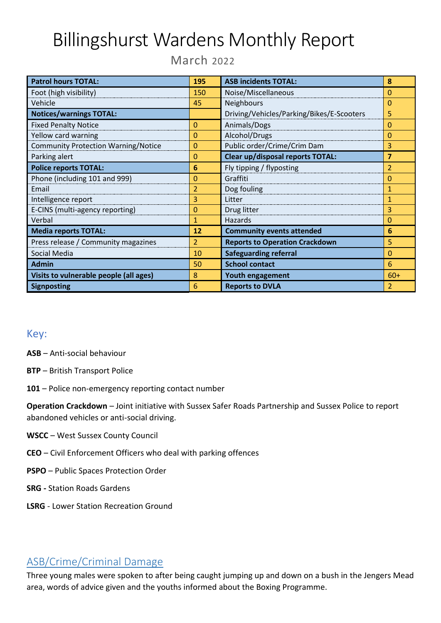# Billingshurst Wardens Monthly Report

March 2022

| <b>Patrol hours TOTAL:</b>                 | 195            | <b>ASB incidents TOTAL:</b>               | 8             |
|--------------------------------------------|----------------|-------------------------------------------|---------------|
| Foot (high visibility)                     | 150            | Noise/Miscellaneous                       | 0             |
| Vehicle                                    | 45             | Neighbours                                | 0             |
| <b>Notices/warnings TOTAL:</b>             |                | Driving/Vehicles/Parking/Bikes/E-Scooters | 5             |
| <b>Fixed Penalty Notice</b>                | $\overline{0}$ | Animals/Dogs                              | 0             |
| Yellow card warning                        | 0              | Alcohol/Drugs                             | 0             |
| <b>Community Protection Warning/Notice</b> | 0              | Public order/Crime/Crim Dam               | 3             |
| Parking alert                              | 0              | <b>Clear up/disposal reports TOTAL:</b>   | 7             |
| <b>Police reports TOTAL:</b>               | 6              | Fly tipping / flyposting                  | 2             |
| Phone (including 101 and 999)              | 0              | Graffiti                                  | 0             |
| Email                                      | 2              | Dog fouling                               | 1             |
| Intelligence report                        | 3              | Litter                                    | 1             |
| E-CINS (multi-agency reporting)            | 0              | Drug litter                               | 3             |
| Verbal                                     | 1              | Hazards                                   | 0             |
| <b>Media reports TOTAL:</b>                | 12             | <b>Community events attended</b>          | 6             |
| Press release / Community magazines        | $\overline{2}$ | <b>Reports to Operation Crackdown</b>     | 5             |
| Social Media                               | 10             | <b>Safeguarding referral</b>              | 0             |
| <b>Admin</b>                               | 50             | <b>School contact</b>                     | 6             |
| Visits to vulnerable people (all ages)     | 8              | Youth engagement                          | $60+$         |
| <b>Signposting</b>                         | 6              | <b>Reports to DVLA</b>                    | $\mathcal{P}$ |

## Key:

**ASB** – Anti-social behaviour

- **BTP**  British Transport Police
- **101**  Police non-emergency reporting contact number

**Operation Crackdown** – Joint initiative with Sussex Safer Roads Partnership and Sussex Police to report abandoned vehicles or anti-social driving.

- **WSCC** West Sussex County Council
- **CEO**  Civil Enforcement Officers who deal with parking offences
- **PSPO**  Public Spaces Protection Order
- **SRG -** Station Roads Gardens
- **LSRG** Lower Station Recreation Ground

## ASB/Crime/Criminal Damage

Three young males were spoken to after being caught jumping up and down on a bush in the Jengers Mead area, words of advice given and the youths informed about the Boxing Programme.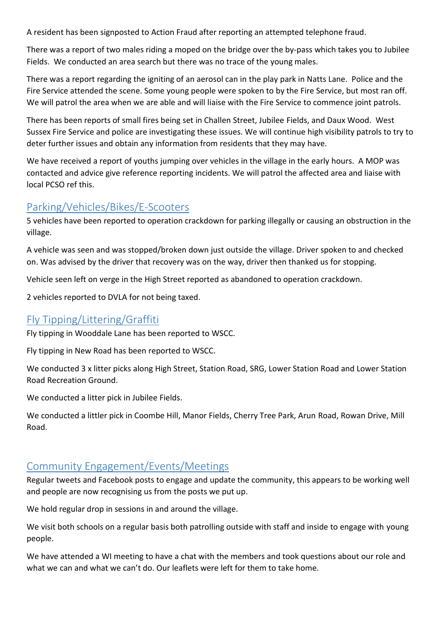A resident has been signposted to Action Fraud after reporting an attempted telephone fraud.

There was a report of two males riding a moped on the bridge over the by-pass which takes you to Jubilee Fields. We conducted an area search but there was no trace of the young males.

There was a report regarding the igniting of an aerosol can in the play park in Natts Lane. Police and the Fire Service attended the scene. Some young people were spoken to by the Fire Service, but most ran off. We will patrol the area when we are able and will liaise with the Fire Service to commence joint patrols.

There has been reports of small fires being set in Challen Street, Jubilee Fields, and Daux Wood. West Sussex Fire Service and police are investigating these issues. We will continue high visibility patrols to try to deter further issues and obtain any information from residents that they may have.

We have received a report of youths jumping over vehicles in the village in the early hours. A MOP was contacted and advice give reference reporting incidents. We will patrol the affected area and liaise with local PCSO ref this.

#### Parking/Vehicles/Bikes/E-Scooters

5 vehicles have been reported to operation crackdown for parking illegally or causing an obstruction in the village.

A vehicle was seen and was stopped/broken down just outside the village. Driver spoken to and checked on. Was advised by the driver that recovery was on the way, driver then thanked us for stopping.

Vehicle seen left on verge in the High Street reported as abandoned to operation crackdown.

2 vehicles reported to DVLA for not being taxed.

## Fly Tipping/Littering/Graffiti

Fly tipping in Wooddale Lane has been reported to WSCC.

Fly tipping in New Road has been reported to WSCC.

We conducted 3 x litter picks along High Street, Station Road, SRG, Lower Station Road and Lower Station Road Recreation Ground.

We conducted a litter pick in Jubilee Fields.

We conducted a littler pick in Coombe Hill, Manor Fields, Cherry Tree Park, Arun Road, Rowan Drive, Mill Road.

#### Community Engagement/Events/Meetings

Regular tweets and Facebook posts to engage and update the community, this appears to be working well and people are now recognising us from the posts we put up.

We hold regular drop in sessions in and around the village.

We visit both schools on a regular basis both patrolling outside with staff and inside to engage with young people.

We have attended a WI meeting to have a chat with the members and took questions about our role and what we can and what we can't do. Our leaflets were left for them to take home.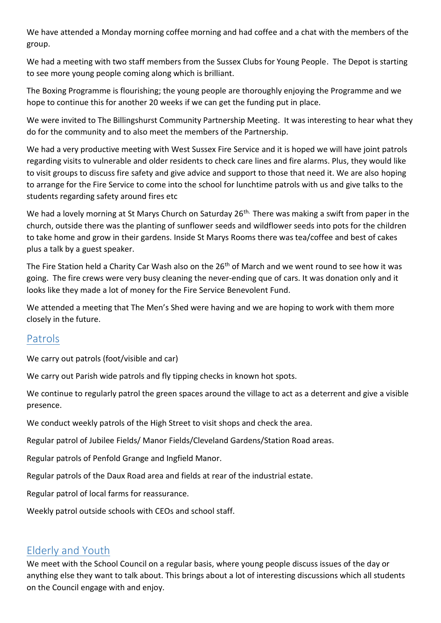We have attended a Monday morning coffee morning and had coffee and a chat with the members of the group.

We had a meeting with two staff members from the Sussex Clubs for Young People. The Depot is starting to see more young people coming along which is brilliant.

The Boxing Programme is flourishing; the young people are thoroughly enjoying the Programme and we hope to continue this for another 20 weeks if we can get the funding put in place.

We were invited to The Billingshurst Community Partnership Meeting. It was interesting to hear what they do for the community and to also meet the members of the Partnership.

We had a very productive meeting with West Sussex Fire Service and it is hoped we will have joint patrols regarding visits to vulnerable and older residents to check care lines and fire alarms. Plus, they would like to visit groups to discuss fire safety and give advice and support to those that need it. We are also hoping to arrange for the Fire Service to come into the school for lunchtime patrols with us and give talks to the students regarding safety around fires etc

We had a lovely morning at St Marys Church on Saturday 26<sup>th.</sup> There was making a swift from paper in the church, outside there was the planting of sunflower seeds and wildflower seeds into pots for the children to take home and grow in their gardens. Inside St Marys Rooms there was tea/coffee and best of cakes plus a talk by a guest speaker.

The Fire Station held a Charity Car Wash also on the 26<sup>th</sup> of March and we went round to see how it was going. The fire crews were very busy cleaning the never-ending que of cars. It was donation only and it looks like they made a lot of money for the Fire Service Benevolent Fund.

We attended a meeting that The Men's Shed were having and we are hoping to work with them more closely in the future.

## Patrols

We carry out patrols (foot/visible and car)

We carry out Parish wide patrols and fly tipping checks in known hot spots.

We continue to regularly patrol the green spaces around the village to act as a deterrent and give a visible presence.

We conduct weekly patrols of the High Street to visit shops and check the area.

Regular patrol of Jubilee Fields/ Manor Fields/Cleveland Gardens/Station Road areas.

Regular patrols of Penfold Grange and Ingfield Manor.

Regular patrols of the Daux Road area and fields at rear of the industrial estate.

Regular patrol of local farms for reassurance.

Weekly patrol outside schools with CEOs and school staff.

#### Elderly and Youth

We meet with the School Council on a regular basis, where young people discuss issues of the day or anything else they want to talk about. This brings about a lot of interesting discussions which all students on the Council engage with and enjoy.